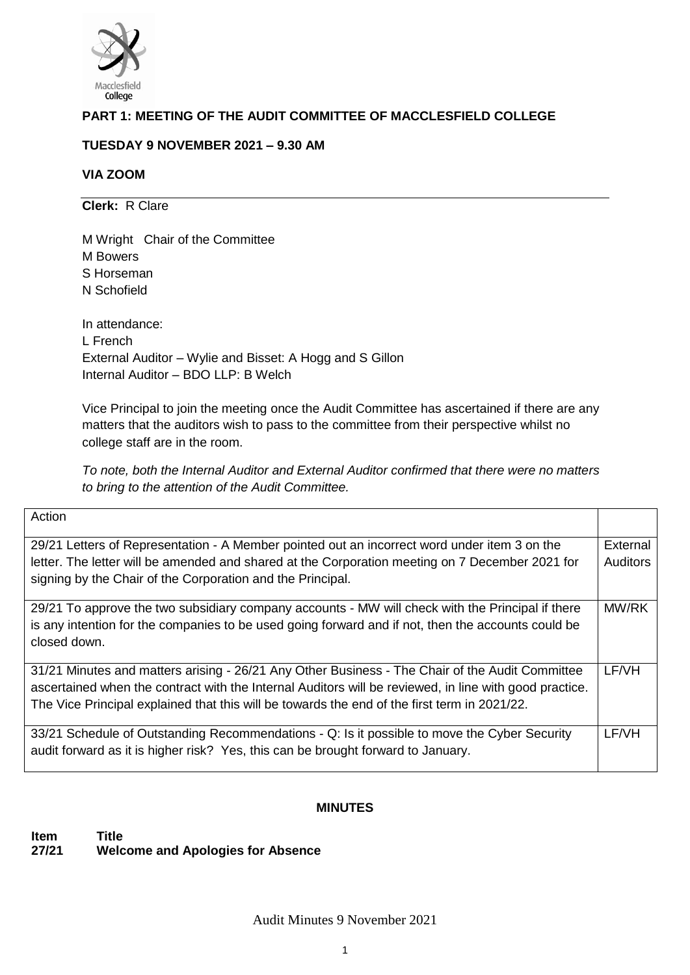

# **PART 1: MEETING OF THE AUDIT COMMITTEE OF MACCLESFIELD COLLEGE**

# **TUESDAY 9 NOVEMBER 2021 – 9.30 AM**

# **VIA ZOOM**

**Clerk:** R Clare

M Wright Chair of the Committee M Bowers S Horseman N Schofield

In attendance: L French External Auditor – Wylie and Bisset: A Hogg and S Gillon Internal Auditor – BDO LLP: B Welch

Vice Principal to join the meeting once the Audit Committee has ascertained if there are any matters that the auditors wish to pass to the committee from their perspective whilst no college staff are in the room.

*To note, both the Internal Auditor and External Auditor confirmed that there were no matters to bring to the attention of the Audit Committee.* 

| Action                                                                                                 |                 |
|--------------------------------------------------------------------------------------------------------|-----------------|
|                                                                                                        |                 |
| 29/21 Letters of Representation - A Member pointed out an incorrect word under item 3 on the           | External        |
| letter. The letter will be amended and shared at the Corporation meeting on 7 December 2021 for        | <b>Auditors</b> |
| signing by the Chair of the Corporation and the Principal.                                             |                 |
|                                                                                                        |                 |
| 29/21 To approve the two subsidiary company accounts - MW will check with the Principal if there       | MW/RK           |
| is any intention for the companies to be used going forward and if not, then the accounts could be     |                 |
| closed down.                                                                                           |                 |
|                                                                                                        |                 |
| 31/21 Minutes and matters arising - 26/21 Any Other Business - The Chair of the Audit Committee        | LF/VH           |
| ascertained when the contract with the Internal Auditors will be reviewed, in line with good practice. |                 |
| The Vice Principal explained that this will be towards the end of the first term in 2021/22.           |                 |
|                                                                                                        |                 |
| 33/21 Schedule of Outstanding Recommendations - Q: Is it possible to move the Cyber Security           | LF/VH           |
| audit forward as it is higher risk? Yes, this can be brought forward to January.                       |                 |
|                                                                                                        |                 |

# **MINUTES**

# **Item Title 27/21 Welcome and Apologies for Absence**

Audit Minutes 9 November 2021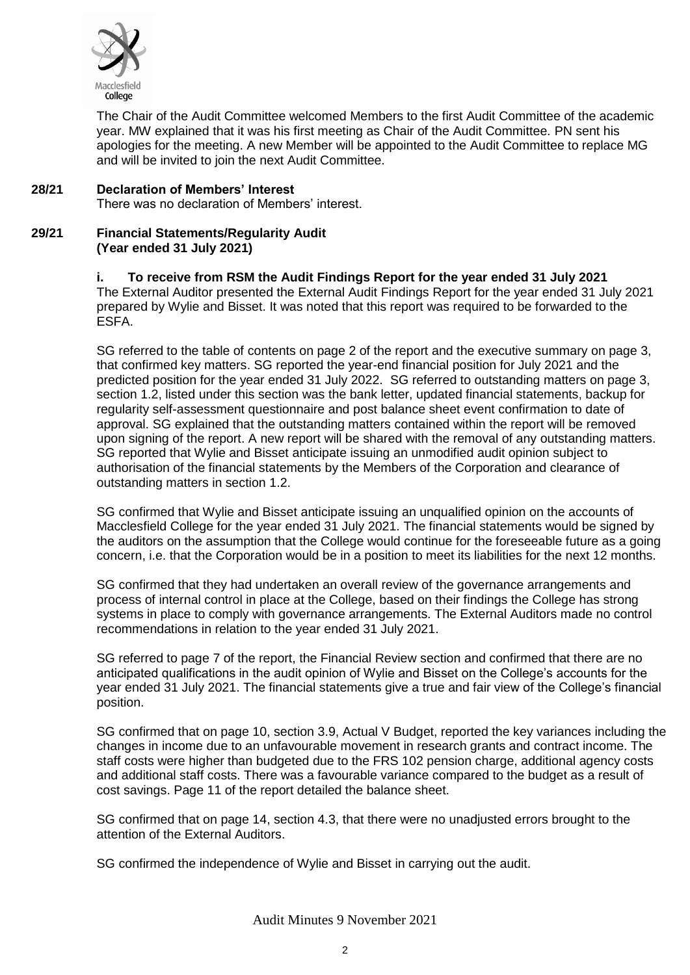

The Chair of the Audit Committee welcomed Members to the first Audit Committee of the academic year. MW explained that it was his first meeting as Chair of the Audit Committee. PN sent his apologies for the meeting. A new Member will be appointed to the Audit Committee to replace MG and will be invited to join the next Audit Committee.

### **28/21 Declaration of Members' Interest**

There was no declaration of Members' interest.

#### **29/21 Financial Statements/Regularity Audit (Year ended 31 July 2021)**

# **i. To receive from RSM the Audit Findings Report for the year ended 31 July 2021**

The External Auditor presented the External Audit Findings Report for the year ended 31 July 2021 prepared by Wylie and Bisset. It was noted that this report was required to be forwarded to the ESFA.

SG referred to the table of contents on page 2 of the report and the executive summary on page 3, that confirmed key matters. SG reported the year-end financial position for July 2021 and the predicted position for the year ended 31 July 2022. SG referred to outstanding matters on page 3, section 1.2, listed under this section was the bank letter, updated financial statements, backup for regularity self-assessment questionnaire and post balance sheet event confirmation to date of approval. SG explained that the outstanding matters contained within the report will be removed upon signing of the report. A new report will be shared with the removal of any outstanding matters. SG reported that Wylie and Bisset anticipate issuing an unmodified audit opinion subject to authorisation of the financial statements by the Members of the Corporation and clearance of outstanding matters in section 1.2.

SG confirmed that Wylie and Bisset anticipate issuing an unqualified opinion on the accounts of Macclesfield College for the year ended 31 July 2021. The financial statements would be signed by the auditors on the assumption that the College would continue for the foreseeable future as a going concern, i.e. that the Corporation would be in a position to meet its liabilities for the next 12 months.

SG confirmed that they had undertaken an overall review of the governance arrangements and process of internal control in place at the College, based on their findings the College has strong systems in place to comply with governance arrangements. The External Auditors made no control recommendations in relation to the year ended 31 July 2021.

SG referred to page 7 of the report, the Financial Review section and confirmed that there are no anticipated qualifications in the audit opinion of Wylie and Bisset on the College's accounts for the year ended 31 July 2021. The financial statements give a true and fair view of the College's financial position.

SG confirmed that on page 10, section 3.9, Actual V Budget, reported the key variances including the changes in income due to an unfavourable movement in research grants and contract income. The staff costs were higher than budgeted due to the FRS 102 pension charge, additional agency costs and additional staff costs. There was a favourable variance compared to the budget as a result of cost savings. Page 11 of the report detailed the balance sheet.

SG confirmed that on page 14, section 4.3, that there were no unadjusted errors brought to the attention of the External Auditors.

SG confirmed the independence of Wylie and Bisset in carrying out the audit.

Audit Minutes 9 November 2021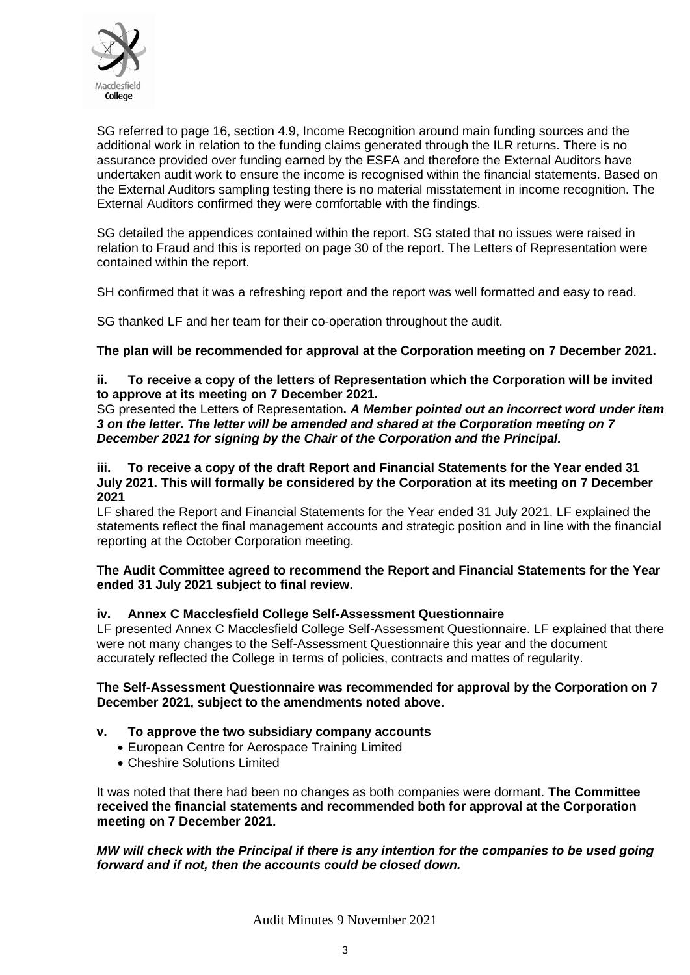

SG referred to page 16, section 4.9, Income Recognition around main funding sources and the additional work in relation to the funding claims generated through the ILR returns. There is no assurance provided over funding earned by the ESFA and therefore the External Auditors have undertaken audit work to ensure the income is recognised within the financial statements. Based on the External Auditors sampling testing there is no material misstatement in income recognition. The External Auditors confirmed they were comfortable with the findings.

SG detailed the appendices contained within the report. SG stated that no issues were raised in relation to Fraud and this is reported on page 30 of the report. The Letters of Representation were contained within the report.

SH confirmed that it was a refreshing report and the report was well formatted and easy to read.

SG thanked LF and her team for their co-operation throughout the audit.

# **The plan will be recommended for approval at the Corporation meeting on 7 December 2021.**

# **ii. To receive a copy of the letters of Representation which the Corporation will be invited to approve at its meeting on 7 December 2021.**

SG presented the Letters of Representation**.** *A Member pointed out an incorrect word under item 3 on the letter. The letter will be amended and shared at the Corporation meeting on 7 December 2021 for signing by the Chair of the Corporation and the Principal.*

#### **iii. To receive a copy of the draft Report and Financial Statements for the Year ended 31 July 2021. This will formally be considered by the Corporation at its meeting on 7 December 2021**

LF shared the Report and Financial Statements for the Year ended 31 July 2021. LF explained the statements reflect the final management accounts and strategic position and in line with the financial reporting at the October Corporation meeting.

### **The Audit Committee agreed to recommend the Report and Financial Statements for the Year ended 31 July 2021 subject to final review.**

### **iv. Annex C Macclesfield College Self-Assessment Questionnaire**

LF presented Annex C Macclesfield College Self-Assessment Questionnaire. LF explained that there were not many changes to the Self-Assessment Questionnaire this year and the document accurately reflected the College in terms of policies, contracts and mattes of regularity.

### **The Self-Assessment Questionnaire was recommended for approval by the Corporation on 7 December 2021, subject to the amendments noted above.**

### **v. To approve the two subsidiary company accounts**

- European Centre for Aerospace Training Limited
- Cheshire Solutions Limited

It was noted that there had been no changes as both companies were dormant. **The Committee received the financial statements and recommended both for approval at the Corporation meeting on 7 December 2021.**

### *MW will check with the Principal if there is any intention for the companies to be used going forward and if not, then the accounts could be closed down.*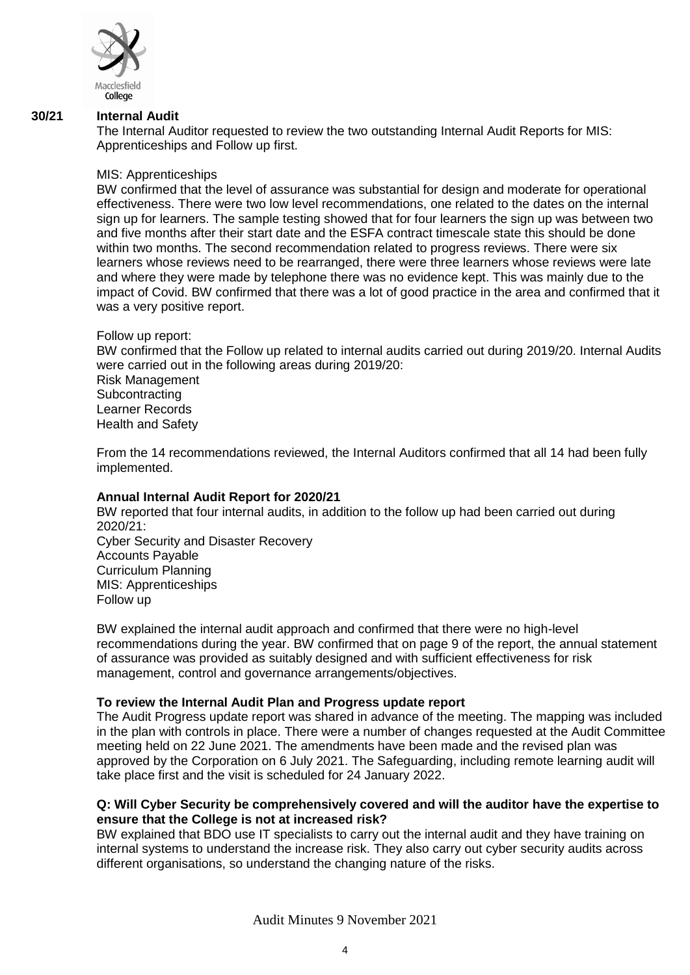

#### **30/21 Internal Audit**

The Internal Auditor requested to review the two outstanding Internal Audit Reports for MIS: Apprenticeships and Follow up first.

#### MIS: Apprenticeships

BW confirmed that the level of assurance was substantial for design and moderate for operational effectiveness. There were two low level recommendations, one related to the dates on the internal sign up for learners. The sample testing showed that for four learners the sign up was between two and five months after their start date and the ESFA contract timescale state this should be done within two months. The second recommendation related to progress reviews. There were six learners whose reviews need to be rearranged, there were three learners whose reviews were late and where they were made by telephone there was no evidence kept. This was mainly due to the impact of Covid. BW confirmed that there was a lot of good practice in the area and confirmed that it was a very positive report.

Follow up report:

BW confirmed that the Follow up related to internal audits carried out during 2019/20. Internal Audits were carried out in the following areas during 2019/20: Risk Management **Subcontracting** Learner Records Health and Safety

From the 14 recommendations reviewed, the Internal Auditors confirmed that all 14 had been fully implemented.

### **Annual Internal Audit Report for 2020/21**

BW reported that four internal audits, in addition to the follow up had been carried out during 2020/21: Cyber Security and Disaster Recovery Accounts Payable Curriculum Planning MIS: Apprenticeships Follow up

BW explained the internal audit approach and confirmed that there were no high-level recommendations during the year. BW confirmed that on page 9 of the report, the annual statement of assurance was provided as suitably designed and with sufficient effectiveness for risk management, control and governance arrangements/objectives.

### **To review the Internal Audit Plan and Progress update report**

The Audit Progress update report was shared in advance of the meeting. The mapping was included in the plan with controls in place. There were a number of changes requested at the Audit Committee meeting held on 22 June 2021. The amendments have been made and the revised plan was approved by the Corporation on 6 July 2021. The Safeguarding, including remote learning audit will take place first and the visit is scheduled for 24 January 2022.

### **Q: Will Cyber Security be comprehensively covered and will the auditor have the expertise to ensure that the College is not at increased risk?**

BW explained that BDO use IT specialists to carry out the internal audit and they have training on internal systems to understand the increase risk. They also carry out cyber security audits across different organisations, so understand the changing nature of the risks.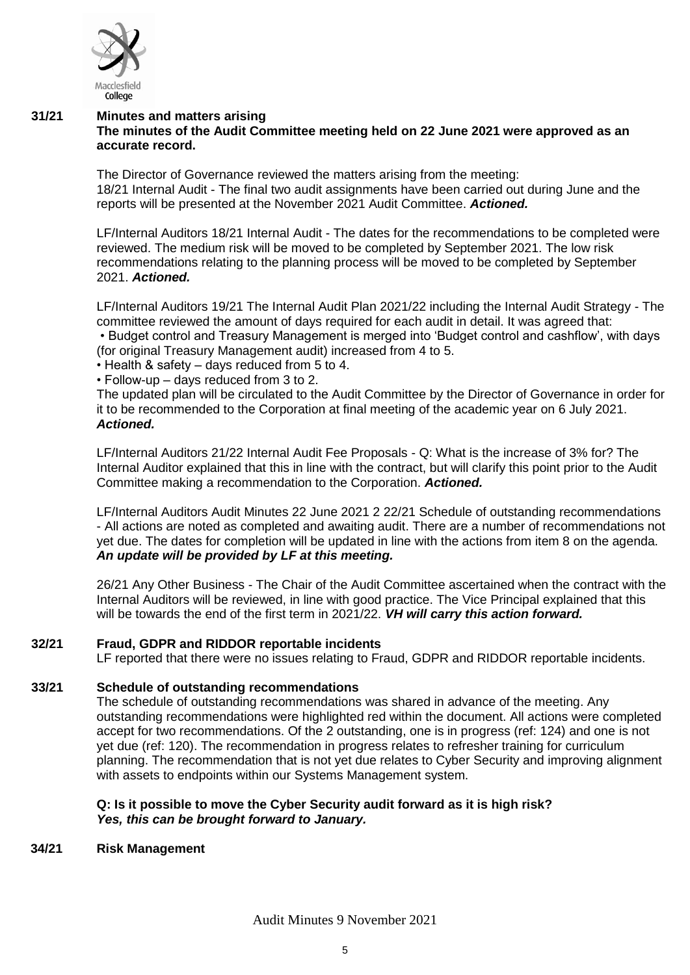

#### **31/21 Minutes and matters arising The minutes of the Audit Committee meeting held on 22 June 2021 were approved as an accurate record.**

The Director of Governance reviewed the matters arising from the meeting: 18/21 Internal Audit - The final two audit assignments have been carried out during June and the reports will be presented at the November 2021 Audit Committee. *Actioned.*

LF/Internal Auditors 18/21 Internal Audit - The dates for the recommendations to be completed were reviewed. The medium risk will be moved to be completed by September 2021. The low risk recommendations relating to the planning process will be moved to be completed by September 2021. *Actioned.* 

LF/Internal Auditors 19/21 The Internal Audit Plan 2021/22 including the Internal Audit Strategy - The committee reviewed the amount of days required for each audit in detail. It was agreed that:

• Budget control and Treasury Management is merged into 'Budget control and cashflow', with days (for original Treasury Management audit) increased from 4 to 5.

- Health & safety days reduced from 5 to 4.
- Follow-up days reduced from 3 to 2.

The updated plan will be circulated to the Audit Committee by the Director of Governance in order for it to be recommended to the Corporation at final meeting of the academic year on 6 July 2021. *Actioned.*

LF/Internal Auditors 21/22 Internal Audit Fee Proposals - Q: What is the increase of 3% for? The Internal Auditor explained that this in line with the contract, but will clarify this point prior to the Audit Committee making a recommendation to the Corporation. *Actioned.*

LF/Internal Auditors Audit Minutes 22 June 2021 2 22/21 Schedule of outstanding recommendations - All actions are noted as completed and awaiting audit. There are a number of recommendations not yet due. The dates for completion will be updated in line with the actions from item 8 on the agenda. *An update will be provided by LF at this meeting.*

26/21 Any Other Business - The Chair of the Audit Committee ascertained when the contract with the Internal Auditors will be reviewed, in line with good practice. The Vice Principal explained that this will be towards the end of the first term in 2021/22. *VH will carry this action forward.*

### **32/21 Fraud, GDPR and RIDDOR reportable incidents**

LF reported that there were no issues relating to Fraud, GDPR and RIDDOR reportable incidents.

### **33/21 Schedule of outstanding recommendations**

The schedule of outstanding recommendations was shared in advance of the meeting. Any outstanding recommendations were highlighted red within the document. All actions were completed accept for two recommendations. Of the 2 outstanding, one is in progress (ref: 124) and one is not yet due (ref: 120). The recommendation in progress relates to refresher training for curriculum planning. The recommendation that is not yet due relates to Cyber Security and improving alignment with assets to endpoints within our Systems Management system.

### **Q: Is it possible to move the Cyber Security audit forward as it is high risk?**  *Yes, this can be brought forward to January.*

### **34/21 Risk Management**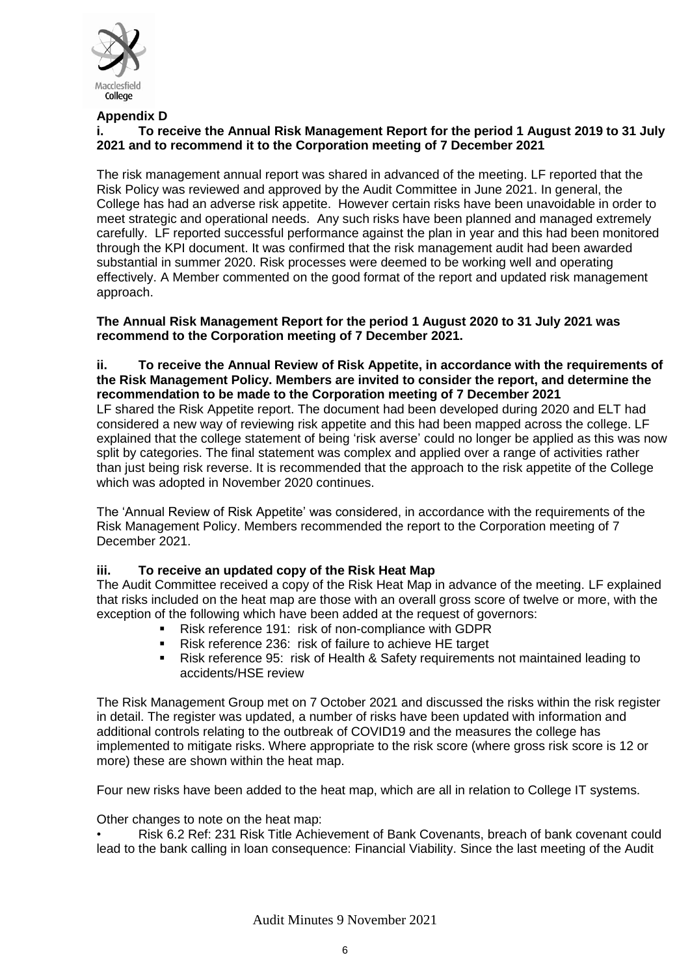

# **Appendix D**

# **i. To receive the Annual Risk Management Report for the period 1 August 2019 to 31 July 2021 and to recommend it to the Corporation meeting of 7 December 2021**

The risk management annual report was shared in advanced of the meeting. LF reported that the Risk Policy was reviewed and approved by the Audit Committee in June 2021. In general, the College has had an adverse risk appetite. However certain risks have been unavoidable in order to meet strategic and operational needs. Any such risks have been planned and managed extremely carefully. LF reported successful performance against the plan in year and this had been monitored through the KPI document. It was confirmed that the risk management audit had been awarded substantial in summer 2020. Risk processes were deemed to be working well and operating effectively. A Member commented on the good format of the report and updated risk management approach.

**The Annual Risk Management Report for the period 1 August 2020 to 31 July 2021 was recommend to the Corporation meeting of 7 December 2021.** 

**ii. To receive the Annual Review of Risk Appetite, in accordance with the requirements of the Risk Management Policy. Members are invited to consider the report, and determine the recommendation to be made to the Corporation meeting of 7 December 2021**

LF shared the Risk Appetite report. The document had been developed during 2020 and ELT had considered a new way of reviewing risk appetite and this had been mapped across the college. LF explained that the college statement of being 'risk averse' could no longer be applied as this was now split by categories. The final statement was complex and applied over a range of activities rather than just being risk reverse. It is recommended that the approach to the risk appetite of the College which was adopted in November 2020 continues.

The 'Annual Review of Risk Appetite' was considered, in accordance with the requirements of the Risk Management Policy. Members recommended the report to the Corporation meeting of 7 December 2021.

# **iii. To receive an updated copy of the Risk Heat Map**

The Audit Committee received a copy of the Risk Heat Map in advance of the meeting. LF explained that risks included on the heat map are those with an overall gross score of twelve or more, with the exception of the following which have been added at the request of governors:

- Risk reference 191: risk of non-compliance with GDPR<br>■ Risk reference 236: risk of failure to achieve HE target
- Risk reference 236: risk of failure to achieve HE target
- Risk reference 95: risk of Health & Safety requirements not maintained leading to accidents/HSE review

The Risk Management Group met on 7 October 2021 and discussed the risks within the risk register in detail. The register was updated, a number of risks have been updated with information and additional controls relating to the outbreak of COVID19 and the measures the college has implemented to mitigate risks. Where appropriate to the risk score (where gross risk score is 12 or more) these are shown within the heat map.

Four new risks have been added to the heat map, which are all in relation to College IT systems.

Other changes to note on the heat map:

• Risk 6.2 Ref: 231 Risk Title Achievement of Bank Covenants, breach of bank covenant could lead to the bank calling in loan consequence: Financial Viability. Since the last meeting of the Audit